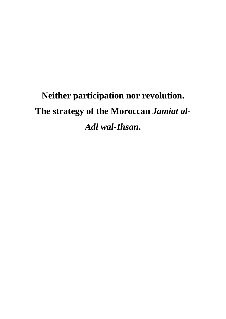# **Neither participation nor revolution. The strategy of the Moroccan** *Jamiat al-Adl wal-Ihsan***.**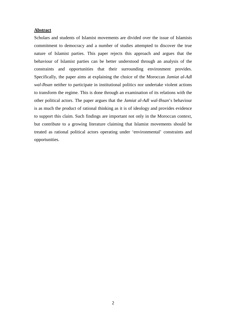# **Abstract**

Scholars and students of Islamist movements are divided over the issue of Islamists commitment to democracy and a number of studies attempted to discover the true nature of Islamist parties. This paper rejects this approach and argues that the behaviour of Islamist parties can be better understood through an analysis of the constraints and opportunities that their surrounding environment provides. Specifically, the paper aims at explaining the choice of the Moroccan *Jamiat al-Adl wal-Ihsan* neither to participate in institutional politics nor undertake violent actions to transform the regime. This is done through an examination of its relations with the other political actors. The paper argues that the *Jamiat al-Adl wal-Ihsan*'s behaviour is as much the product of rational thinking as it is of ideology and provides evidence to support this claim. Such findings are important not only in the Moroccan context, but contribute to a growing literature claiming that Islamist movements should be treated as rational political actors operating under 'environmental' constraints and opportunities.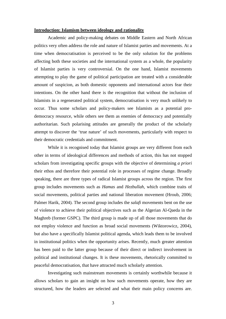#### **Introduction: Islamism between ideology and rationality**

 Academic and policy-making debates on Middle Eastern and North African politics very often address the role and nature of Islamist parties and movements. At a time when democratisation is perceived to be the only solution for the problems affecting both these societies and the international system as a whole, the popularity of Islamist parties is very controversial. On the one hand, Islamist movements attempting to play the game of political participation are treated with a considerable amount of suspicion, as both domestic opponents and international actors fear their intentions. On the other hand there is the recognition that without the inclusion of Islamists in a regenerated political system, democratisation is very much unlikely to occur. Thus some scholars and policy-makers see Islamists as a potential prodemocracy resource, while others see them as enemies of democracy and potentially authoritarian. Such polarising attitudes are generally the product of the scholarly attempt to discover the 'true nature' of such movements, particularly with respect to their democratic credentials and commitment.

While it is recognised today that Islamist groups are very different from each other in terms of ideological differences and methods of action, this has not stopped scholars from investigating specific groups with the objective of determining *a priori*  their ethos and therefore their potential role in processes of regime change. Broadly speaking, there are three types of radical Islamist groups across the region. The first group includes movements such as *Hamas* and *Hezbullah*, which combine traits of social movements, political parties and national liberation movement (Hroub, 2006; Palmer Harik, 2004). The second group includes the *salafi* movements bent on the use of violence to achieve their political objectives such as the Algerian Al-Qaeda in the Maghreb (former GSPC). The third group is made up of all those movements that do not employ violence and function as broad social movements (Wiktorowicz, 2004), but also have a specifically Islamist political agenda, which leads them to be involved in institutional politics when the opportunity arises. Recently, much greater attention has been paid to the latter group because of their direct or indirect involvement in political and institutional changes. It is these movements, rhetorically committed to peaceful democratisation, that have attracted much scholarly attention.

Investigating such mainstream movements is certainly worthwhile because it allows scholars to gain an insight on how such movements operate, how they are structured, how the leaders are selected and what their main policy concerns are.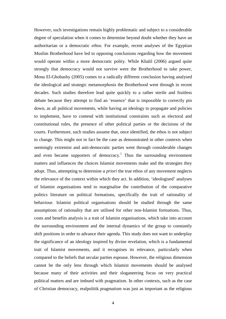However, such investigations remain highly problematic and subject to a considerable degree of speculation when it comes to determine beyond doubt whether they have an authoritarian or a democratic *ethos*. For example, recent analyses of the Egyptian Muslim Brotherhood have led to opposing conclusions regarding how the movement would operate within a more democratic polity. While Khalil (2006) argued quite strongly that democracy would not survive were the Brotherhood to take power, Mona El-Ghobashy (2005) comes to a radically different conclusion having analysed the ideological and strategic metamorphosis the Brotherhood went through in recent decades. Such studies therefore lead quite quickly to a rather sterile and fruitless debate because they attempt to find an 'essence' that is impossible to correctly pin down, as all political movements, while having an ideology to propagate and policies to implement, have to contend with institutional constraints such as electoral and constitutional rules, the presence of other political parties or the decisions of the courts. Furthermore, such studies assume that, once identified, the ethos is not subject to change. This might not in fact be the case as demonstrated in other contexts when seemingly extremist and anti-democratic parties went through considerable changes and even became supporters of democracy.<sup>1</sup> Thus the surrounding environment matters and influences the choices Islamist movements make and the strategies they adopt. Thus, attempting to determine *a priori* the true ethos of any movement neglects the relevance of the context within which they act. In addition, 'ideologised' analyses of Islamist organisations tend to marginalise the contribution of the comparative politics literature on political formations, specifically the trait of rationality of behaviour. Islamist political organisations should be studied through the same assumptions of rationality that are utilised for other non-Islamist formations. Thus, costs and benefits analysis is a trait of Islamist organisations, which take into account the surrounding environment and the internal dynamics of the group to constantly shift positions in order to advance their agenda. This study does not want to underplay the significance of an ideology inspired by divine revelation, which is a fundamental trait of Islamist movements, and it recognises its relevance, particularly when compared to the beliefs that secular parties espouse. However, the religious dimension cannot be the only lens through which Islamist movements should be analysed because many of their activities and their sloganeering focus on very practical political matters and are imbued with pragmatism. In other contexts, such as the case of Christian democracy, realpolitik pragmatism was just as important as the religious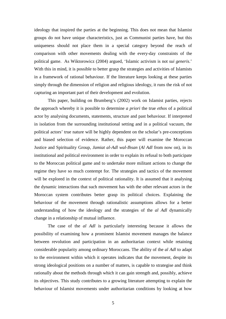ideology that inspired the parties at the beginning. This does not mean that Islamist groups do not have unique characteristics, just as Communist parties have, but this uniqueness should not place them in a special category beyond the reach of comparison with other movements dealing with the every-day constraints of the political game. As Wiktorowicz (2004) argued, 'Islamic activism is not *sui generis*.' With this in mind, it is possible to better grasp the strategies and activities of Islamists in a framework of rational behaviour. If the literature keeps looking at these parties simply through the dimension of religion and religious ideology, it runs the risk of not capturing an important part of their development and evolution.

This paper, building on Brumberg's (2002) work on Islamist parties, rejects the approach whereby it is possible to determine *a priori* the true *ethos* of a political actor by analysing documents, statements, structure and past behaviour. If interpreted in isolation from the surrounding institutional setting and in a political vacuum, the political actors' true nature will be highly dependent on the scholar's pre-conceptions and biased selection of evidence. Rather, this paper will examine the Moroccan Justice and Spirituality Group, *Jamiat al-Adl wal-Ihsan* (*Al Adl* from now on), in its institutional and political environment in order to explain its refusal to both participate to the Moroccan political game and to undertake more militant actions to change the regime they have so much contempt for. The strategies and tactics of the movement will be explored in the context of political rationality. It is assumed that it analysing the dynamic interactions that such movement has with the other relevant actors in the Moroccan system contributes better grasp its political choices. Explaining the behaviour of the movement through rationalistic assumptions allows for a better understanding of how the ideology and the strategies of the *al Adl* dynamically change in a relationship of mutual influence.

The case of the *al Adl* is particularly interesting because it allows the possibility of examining how a prominent Islamist movement manages the balance between revolution and participation in an authoritarian context while retaining considerable popularity among ordinary Moroccans. The ability of the *al Adl* to adapt to the environment within which it operates indicates that the movement, despite its strong ideological positions on a number of matters, is capable to strategise and think rationally about the methods through which it can gain strength and, possibly, achieve its objectives. This study contributes to a growing literature attempting to explain the behaviour of Islamist movements under authoritarian conditions by looking at how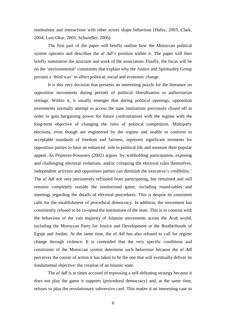institutions and interactions with other actors shape behaviour (Hafez, 2003; Clark, 2004; Lust-Okar, 2005; Schwedler, 2006).

The first part of the paper will briefly outline how the Moroccan political system operates and describes the *al Adl*'s position within it. The paper will then briefly summarise the structure and work of the association. Finally, the focus will be on the 'environmental' constraints that explain why the Justice and Spirituality Group pursues a 'third way' to affect political, social and economic change.

It is this very decision that presents an interesting puzzle for the literature on opposition movements during periods of political liberalisation in authoritarian settings. Within it, it usually emerges that during political openings, opposition movements normally attempt to access the state institutions previously closed off in order to gain bargaining power for future confrontations with the regime with the long-term objective of changing the rules of political competition. Multiparty elections, even though are engineered by the regime and unable to conform to acceptable standards of freedom and fairness, represent significant moments for opposition parties to have an enhanced role in political life and measure their popular appeal. As Pripstein-Posusney (2002) argues 'by withholding participation, exposing and challenging electoral violations, and/or critiquing the electoral rules themselves, independent activists and opposition parties can diminish the executive's credibility.' The *al Adl* not only persistently refrained from participating, but remained and still remains completely outside the institutional game, including round-tables and meetings regarding the details of electoral procedures. This is despite its consistent calls for the establishment of procedural democracy. In addition, the movement has consistently refused to be co-opted the institutions of the state. This is in contrast with the behaviour of the vats majority of Islamist movements across the Arab world, including the Moroccan Party for Justice and Development or the Brotherhoods of Egypt and Jordan. At the same time, the *al Adl* has also refused to call for regime change through violence. It is contended that the very specific conditions and constraints of the Moroccan system determine such behaviour because the *al Adl* perceives the course of action it has taken to be the one that will eventually deliver its fundamental objective: the creation of an Islamic state.

The *al Adl* is at times accused of espousing a self-defeating strategy because it does not play the game it supports (procedural democracy) and, at the same time, refuses to play the revolutionary subversive card. This makes it an interesting case to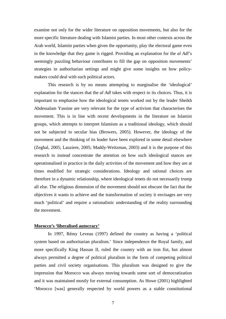examine not only for the wider literature on opposition movements, but also for the more specific literature dealing with Islamist parties. In most other contexts across the Arab world, Islamist parties when given the opportunity, play the electoral game even in the knowledge that they game is rigged. Providing an explanation for the *al Adl*'s seemingly puzzling behaviour contributes to fill the gap on opposition movements' strategies in authoritarian settings and might give some insights on how policymakers could deal with such political actors.

This research is by no means attempting to marginalise the 'ideological' explanation for the stances that the *al Adl* takes with respect to its choices. Thus, it is important to emphasise how the ideological tenets worked out by the leader Sheikh Abdessalam Yassine are very relevant for the type of activism that characterises the movement. This is in line with recent developments in the literature on Islamist groups, which attempts to interpret Islamism as a traditional ideology, which should not be subjected to secular bias (Browers, 2005). However, the ideology of the movement and the thinking of its leader have been explored in some detail elsewhere (Zeghal, 2005; Lauziere, 2005; Maddy-Weitzman, 2003) and it is the purpose of this research to instead concentrate the attention on how such ideological stances are operationalised in practice in the daily activities of the movement and how they are at times modified for strategic considerations. Ideology and rational choices are therefore in a dynamic relationship, where ideological tenets do not necessarily trump all else. The religious dimension of the movement should not obscure the fact that the objectives it wants to achieve and the transformation of society it envisages are very much 'political' and require a rationalistic understanding of the reality surrounding the movement.

## **Morocco's 'liberalised autocracy'**

 In 1997, Rémy Leveau (1997) defined the country as having a 'political system based on authoritarian pluralism.' Since independence the Royal family, and more specifically King Hassan II, ruled the country with an iron fist, but almost always permitted a degree of political pluralism in the form of competing political parties and civil society organisations. This pluralism was designed to give the impression that Morocco was always moving towards some sort of democratization and it was maintained mostly for external consumption. As Howe (2001) highlighted 'Morocco [was] generally respected by world powers as a stable constitutional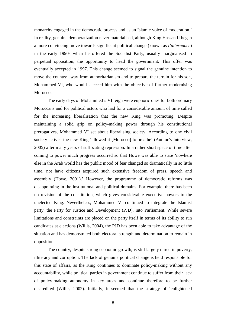monarchy engaged in the democratic process and as an Islamic voice of moderation.' In reality, genuine democratization never materialised, although King Hassan II began a more convincing move towards significant political change (known as *l'alternance*) in the early 1990s when he offered the Socialist Party, usually marginalised in perpetual opposition, the opportunity to head the government. This offer was eventually accepted in 1997. This change seemed to signal the genuine intention to move the country away from authoritarianism and to prepare the terrain for his son, Mohammed VI, who would succeed him with the objective of further modernising Morocco.

The early days of Mohammed's VI reign were euphoric ones for both ordinary Moroccans and for political actors who had for a considerable amount of time called for the increasing liberalisation that the new King was promoting. Despite maintaining a solid grip on policy-making power through his constitutional prerogatives, Mohammed VI set about liberalising society. According to one civil society activist the new King 'allowed it [Morocco] to breathe' (Author's Interview, 2005) after many years of suffocating repression. In a rather short space of time after coming to power much progress occurred so that Howe was able to state 'nowhere else in the Arab world has the public mood of fear changed so dramatically in so little time, not have citizens acquired such extensive freedom of press, speech and assembly (Howe, 2001).' However, the programme of democratic reforms was disappointing in the institutional and political domains. For example, there has been no revision of the constitution, which gives considerable executive powers to the unelected King. Nevertheless, Mohammed VI continued to integrate the Islamist party, the Party for Justice and Development (PJD), into Parliament. While severe limitations and constraints are placed on the party itself in terms of its ability to run candidates at elections (Willis, 2004), the PJD has been able to take advantage of the situation and has demonstrated both electoral strength and determination to remain in opposition.

The country, despite strong economic growth, is still largely mired in poverty, illiteracy and corruption. The lack of genuine political change is held responsible for this state of affairs, as the King continues to dominate policy-making without any accountability, while political parties in government continue to suffer from their lack of policy-making autonomy in key areas and continue therefore to be further discredited (Willis, 2002). Initially, it seemed that the strategy of 'enlightened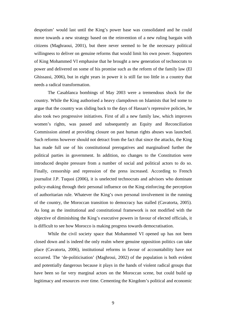despotism' would last until the King's power base was consolidated and he could move towards a new strategy based on the reinvention of a new ruling bargain with citizens (Maghraoui, 2001), but there never seemed to be the necessary political willingness to deliver on genuine reforms that would limit his own power. Supporters of King Mohammed VI emphasise that he brought a new generation of technocrats to power and delivered on some of his promise such as the reform of the family law (El Ghissassi, 2006), but in eight years in power it is still far too little in a country that needs a radical transformation.

 The Casablanca bombings of May 2003 were a tremendous shock for the country. While the King authorised a heavy clampdown on Islamists that led some to argue that the country was sliding back to the days of Hassan's repressive policies, he also took two progressive initiatives. First of all a new family law, which improves women's rights, was passed and subsequently an Equity and Reconciliation Commission aimed at providing closure on past human rights abuses was launched. Such reforms however should not detract from the fact that since the attacks, the King has made full use of his constitutional prerogatives and marginalised further the political parties in government. In addition, no changes to the Constitution were introduced despite pressure from a number of social and political actors to do so. Finally, censorship and repression of the press increased. According to French journalist J.P. Tuquoi (2006), it is unelected technocrats and advisors who dominate policy-making through their personal influence on the King einforcing the perception of authoritarian rule. Whatever the King's own personal involvement in the running of the country, the Moroccan transition to democracy has stalled (Cavatorta, 2005). As long as the institutional and constitutional framework is not modified with the objective of diminishing the King's executive powers in favour of elected officials, it is difficult to see how Morocco is making progress towards democratisation.

While the civil society space that Mohammed VI opened up has not been closed down and is indeed the only realm where genuine opposition politics can take place (Cavatorta, 2006), institutional reforms in favour of accountability have not occurred. The 'de-politicisation' (Maghroui, 2002) of the population is both evident and potentially dangerous because it plays in the hands of violent radical groups that have been so far very marginal actors on the Moroccan scene, but could build up legitimacy and resources over time. Cementing the Kingdom's political and economic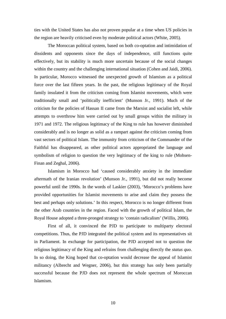ties with the United States has also not proven popular at a time when US policies in the region are heavily criticised even by moderate political actors (White, 2005).

 The Moroccan political system, based on both co-optation and intimidation of dissidents and opponents since the days of independence, still functions quite effectively, but its stability is much more uncertain because of the social changes within the country and the challenging international situation (Cohen and Jaidi, 2006). In particular, Morocco witnessed the unexpected growth of Islamism as a political force over the last fifteen years. In the past, the religious legitimacy of the Royal family insulated it from the criticism coming from Islamist movements, which were traditionally small and 'politically inefficient' (Munson Jr., 1991). Much of the criticism for the policies of Hassan II came from the Marxist and socialist left, while attempts to overthrow him were carried out by small groups within the military in 1971 and 1972. The religious legitimacy of the King to rule has however diminished considerably and is no longer as solid as a rampart against the criticism coming from vast sectors of political Islam. The immunity from criticism of the Commander of the Faithful has disappeared, as other political actors appropriated the language and symbolism of religion to question the very legitimacy of the king to rule (Mohsen-Finan and Zeghal, 2006).

 Islamism in Morocco had 'caused considerably anxiety in the immediate aftermath of the Iranian revolution' (Munson Jr., 1991), but did not really become powerful until the 1990s. In the words of Laskier (2003), 'Morocco's problems have provided opportunities for Islamist movements to arise and claim they possess the best and perhaps only solutions.' In this respect, Morocco is no longer different from the other Arab countries in the region. Faced with the growth of political Islam, the Royal House adopted a three-pronged strategy to 'contain radicalism' (Willis, 2006).

First of all, it convinced the PJD to participate to multiparty electoral competitions. Thus, the PJD integrated the political system and its representatives sit in Parliament. In exchange for participation, the PJD accepted not to question the religious legitimacy of the King and refrains from challenging directly the *status quo*. In so doing, the King hoped that co-optation would decrease the appeal of Islamist militancy (Albrecht and Wegner, 2006), but this strategy has only been partially successful because the PJD does not represent the whole spectrum of Moroccan Islamism.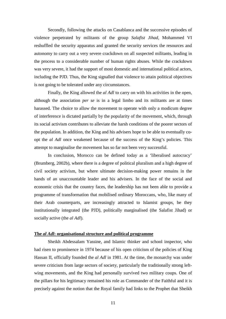Secondly, following the attacks on Casablanca and the successive episodes of violence perpetrated by militants of the group *Salafist Jihad*, Mohammed VI reshuffled the security apparatus and granted the security services the resources and autonomy to carry out a very severe crackdown on all suspected militants, leading in the process to a considerable number of human rights abuses. While the crackdown was very severe, it had the support of most domestic and international political actors, including the PJD. Thus, the King signalled that violence to attain political objectives is not going to be tolerated under any circumstances.

Finally, the King allowed the *al Adl* to carry on with his activities in the open, although the association *per se* is in a legal limbo and its militants are at times harassed. The choice to allow the movement to operate with only a modicum degree of interference is dictated partially by the popularity of the movement, which, through its social activism contributes to alleviate the harsh conditions of the poorer sectors of the population. In addition, the King and his advisers hope to be able to eventually coopt the *al Adl* once weakened because of the success of the King's policies. This attempt to marginalise the movement has so far not been very successful.

 In conclusion, Morocco can be defined today as a 'liberalised autocracy' (Brumberg, 2002b), where there is a degree of political pluralism and a high degree of civil society activism, but where ultimate decision-making power remains in the hands of an unaccountable leader and his advisers. In the face of the social and economic crisis that the country faces, the leadership has not been able to provide a programme of transformation that mobilised ordinary Moroccans, who, like many of their Arab counterparts, are increasingly attracted to Islamist groups, be they institutionally integrated (the PJD), politically marginalised (the Salafist Jihad) or socially active (the *al Adl*).

### **The** *al Adl***: organisational structure and political programme**

 Sheikh Abdessalam Yassine, and Islamic thinker and school inspector, who had risen to prominence in 1974 because of his open criticism of the policies of King Hassan II, officially founded the *al Adl* in 1981. At the time, the monarchy was under severe criticism from large sectors of society, particularly the traditionally strong leftwing movements, and the King had personally survived two military coups. One of the pillars for his legitimacy remained his role as Commander of the Faithful and it is precisely against the notion that the Royal family had links to the Prophet that Sheikh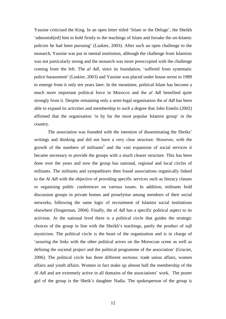Yassine criticised the King. In an open letter titled 'Islam or the Deluge', the Sheikh 'admonish[ed] him to hold firmly to the teachings of Islam and forsake the un-Islamic policies he had been pursuing' (Laskier, 2003). After such an open challenge to the monarch, Yassine was put in mental institution, although the challenge from Islamists was not particularly strong and the monarch was more preoccupied with the challenge coming from the left. The *al Adl*, since its foundation, 'suffered from systematic police harassment' (Laskier, 2003) and Yassine was placed under house arrest in 1989 to emerge from it only ten years later. In the meantime, political Islam has become a much more important political force in Morocco and the *al Adl* benefited quite strongly from it. Despite remaining only a semi-legal organisation the *al Adl* has been able to expand its activities and membership to such a degree that John Entelis (2002) affirmed that the organisation 'is by far the most popular Islamist group' in the country.

 The association was founded with the intention of disseminating the Sheiks' writings and thinking and did not have a very clear structure. However, with the growth of the numbers of militants<sup>2</sup> and the vast expansion of social services it became necessary to provide the groups with a much clearer structure. This has been done over the years and now the group has national, regional and local circles of militants. The militants and sympathisers then found associations organically linked to the *Al Adl* with the objective of providing specific services such as literacy classes or organising public conferences on various issues. In addition, militants hold discussion groups in private homes and proselytise among members of their social networks, following the same logic of recruitment of Islamist social institutions elsewhere (Singerman, 2004). Finally, the *al Adl* has a specific political aspect to its activism. At the national level there is a political circle that guides the strategic choices of the group in line with the Sheikh's teachings, partly the product of *sufi* mysticism. The political circle is the heart of the organisation and is in charge of 'assuring the links with the other political actors on the Moroccan scene as well as defining the societal project and the political programme of the association' (Graciet, 2006). The political circle has three different sections: trade union affairs, women affairs and youth affairs. Women in fact make up almost half the membership of the *Al Adl* and are extremely active in all domains of the associations' work. The poster girl of the group is the Sheik's daughter Nadia. The spokesperson of the group is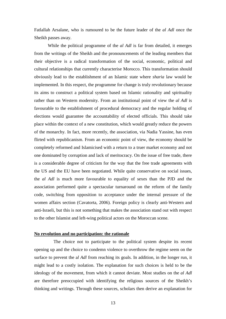Fatlallah Arsalane, who is rumoured to be the future leader of the *al Adl* once the Sheikh passes away.

 While the political programme of the *al Adl* is far from detailed, it emerges from the writings of the Sheikh and the pronouncements of the leading members that their objective is a radical transformation of the social, economic, political and cultural relationships that currently characterise Morocco. This transformation should obviously lead to the establishment of an Islamic state where *sharia* law would be implemented. In this respect, the programme for change is truly revolutionary because its aims to construct a political system based on Islamic rationality and spirituality rather than on Western modernity. From an institutional point of view the *al Adl* is favourable to the establishment of procedural democracy and the regular holding of elections would guarantee the accountability of elected officials. This should take place within the context of a new constitution, which would greatly reduce the powers of the monarchy. In fact, more recently, the association, via Nadia Yassine, has even flirted with republicanism. From an economic point of view, the economy should be completely reformed and Islamicised with a return to a truer market economy and not one dominated by corruption and lack of meritocracy. On the issue of free trade, there is a considerable degree of criticism for the way that the free trade agreements with the US and the EU have been negotiated. While quite conservative on social issues, the *al Adl* is much more favourable to equality of sexes than the PJD and the association performed quite a spectacular turnaround on the reform of the family code, switching from opposition to acceptance under the internal pressure of the women affairs section (Cavatorta, 2006). Foreign policy is clearly anti-Western and anti-Israeli, but this is not something that makes the association stand out with respect to the other Islamist and left-wing political actors on the Moroccan scene.

### **No revolution and no participation: the rationale**

 The choice not to participate to the political system despite its recent opening up and the choice to condemn violence to overthrow the regime seem on the surface to prevent the a*l Adl* from reaching its goals. In addition, in the longer run, it might lead to a costly isolation. The explanation for such choices is held to be the ideology of the movement, from which it cannot deviate. Most studies on the *al Adl*  are therefore preoccupied with identifying the religious sources of the Sheikh's thinking and writings. Through these sources, scholars then derive an explanation for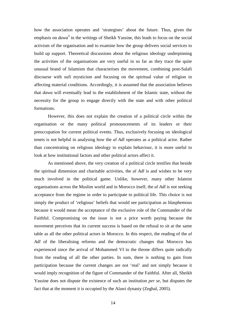how the association operates and 'strategises' about the future. Thus, given the emphasis on *dawa*<sup>3</sup> in the writings of Sheikh Yassine, this leads to focus on the social activism of the organisation and to examine how the group delivers social services to build up support. Theoretical discussions about the religious ideology underpinning the activities of the organisations are very useful in so far as they trace the quite unusual brand of Islamism that characterises the movement, combining post-Salafi discourse with sufi mysticism and focusing on the spiritual value of religion in affecting material conditions. Accordingly, it is assumed that the association believes that *dawa* will eventually lead to the establishment of the Islamic state, without the necessity for the group to engage directly with the state and with other political formations.

However, this does not explain the creation of a political circle within the organisation or the many political pronouncements of its leaders or their preoccupation for current political events. Thus, exclusively focusing on ideological tenets is not helpful in analysing how the *al Adl* operates as a political actor. Rather than concentrating on religious ideology to explain behaviour, it is more useful to look at how institutional factors and other political actors affect it.

 As mentioned above, the very creation of a political circle testifies that beside the spiritual dimension and charitable activities, the *al Adl* is and wishes to be very much involved in the political game. Unlike, however, many other Islamist organisations across the Muslim world and in Morocco itself, the *al Adl* is not seeking acceptance from the regime in order to participate to political life. This choice is not simply the product of 'religious' beliefs that would see participation as blasphemous because it would mean the acceptance of the exclusive role of the Commander of the Faithful. Compromising on the issue is not a price worth paying because the movement perceives that its current success is based on the refusal to sit at the same table as all the other political actors in Morocco. In this respect, the reading of the *al Adl* of the liberalising reforms and the democratic changes that Morocco has experienced since the arrival of Mohammed VI to the throne differs quite radically from the reading of all the other parties. In sum, there is nothing to gain from participation because the current changes are not 'real' and not simply because it would imply recognition of the figure of Commander of the Faithful. After all, Sheikh Yassine does not dispute the existence of such an institution *per se*, but disputes the fact that at the moment it is occupied by the Alawi dynasty (Zeghal, 2005).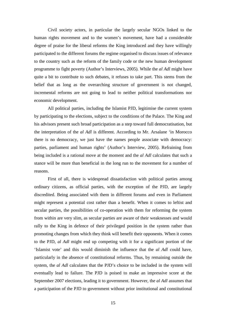Civil society actors, in particular the largely secular NGOs linked to the human rights movement and to the women's movement, have had a considerable degree of praise for the liberal reforms the King introduced and they have willingly participated to the different forums the regime organised to discuss issues of relevance to the country such as the reform of the family code or the new human development programme to fight poverty (Author's Interviews, 2005). While the *al Adl* might have quite a bit to contribute to such debates, it refuses to take part. This stems from the belief that as long as the overarching structure of government is not changed, incremental reforms are not going to lead to neither political transformations nor economic development.

All political parties, including the Islamist PJD, legitimise the current system by participating to the elections, subject to the conditions of the Palace. The King and his advisors present such broad participation as a step toward full democratisation, but the interpretation of the *al Adl* is different. According to Mr. Arsalane 'in Morocco there is no democracy, we just have the names people associate with democracy: parties, parliament and human rights' (Author's Interview, 2005). Refraining from being included is a rational move at the moment and the *al Adl* calculates that such a stance will be more than beneficial in the long run to the movement for a number of reasons.

First of all, there is widespread dissatisfaction with political parties among ordinary citizens, as official parties, with the exception of the PJD, are largely discredited. Being associated with them in different forums and even in Parliament might represent a potential cost rather than a benefit. When it comes to leftist and secular parties, the possibilities of co-operation with them for reforming the system from within are very slim, as secular parties are aware of their weaknesses and would rally to the King in defence of their privileged position in the system rather than promoting changes from which they think will benefit their opponents. When it comes to the PJD, *al Adl* might end up competing with it for a significant portion of the 'Islamist vote' and this would diminish the influence that the *al Adl* could have, particularly in the absence of constitutional reforms. Thus, by remaining outside the system, the *al Adl* calculates that the PJD's choice to be included in the system will eventually lead to failure. The PJD is poised to make an impressive score at the September 2007 elections, leading it to government. However, the *al Adl* assumes that a participation of the PJD to government without prior institutional and constitutional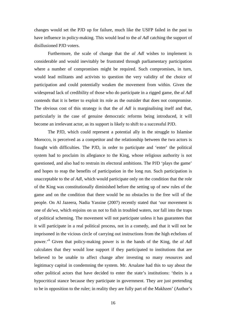changes would set the PJD up for failure, much like the USFP failed in the past to have influence in policy-making. This would lead to the *al Adl* catching the support of disillusioned PJD voters.

Furthermore, the scale of change that the *al Adl* wishes to implement is considerable and would inevitably be frustrated through parliamentary participation where a number of compromises might be required. Such compromises, in turn, would lead militants and activists to question the very validity of the choice of participation and could potentially weaken the movement from within. Given the widespread lack of credibility of those who do participate in a rigged game, the *al Adl*  contends that it is better to exploit its role as the outsider that does not compromise. The obvious cost of this strategy is that the *al Adl* is marginalising itself and that, particularly in the case of genuine democratic reforms being introduced, it will become an irrelevant actor, as its support is likely to shift to a successful PJD.

The PJD, which could represent a potential ally in the struggle to Islamise Morocco, is perceived as a competitor and the relationship between the two actors is fraught with difficulties. The PJD, in order to participate and 'enter' the political system had to proclaim its allegiance to the King, whose religious authority is not questioned, and also had to restrain its electoral ambitions. The PJD 'plays the game' and hopes to reap the benefits of participation in the long run. Such participation is unacceptable to the *al Adl*, which would participate only on the condition that the role of the King was constitutionally diminished before the setting up of new rules of the game and on the condition that there would be no obstacles to the free will of the people. On Al Jazeera, Nadia Yassine (2007) recently stated that 'our movement is one of *da'wa*, which enjoins on us not to fish in troubled waters, nor fall into the traps of political scheming. The movement will not participate unless it has guarantees that it will participate in a real political process, not in a comedy, and that it will not be imprisoned in the vicious circle of carrying out instructions from the high echelons of power.'<sup>4</sup> Given that policy-making power is in the hands of the King, the *al Adl*  calculates that they would lose support if they participated to institutions that are believed to be unable to affect change after investing so many resources and legitimacy capital in condemning the system. Mr. Arsalane had this to say about the other political actors that have decided to enter the state's institutions: 'theirs is a hypocritical stance because they participate in government. They are just pretending to be in opposition to the ruler; in reality they are fully part of the Makhzen' (Author's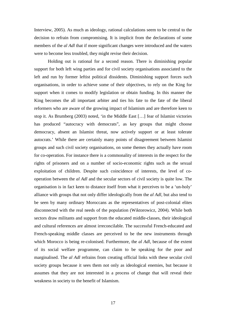Interview, 2005). As much as ideology, rational calculations seem to be central to the decision to refrain from compromising. It is implicit from the declarations of some members of the *al Adl* that if more significant changes were introduced and the waters were to become less troubled, they might revise their decision.

Holding out is rational for a second reason. There is diminishing popular support for both left wing parties and for civil society organisations associated to the left and run by former leftist political dissidents. Diminishing support forces such organisations, in order to achieve some of their objectives, to rely on the King for support when it comes to modify legislation or obtain funding. In this manner the King becomes the all important arbiter and ties his fate to the fate of the liberal reformers who are aware of the growing impact of Islamism and are therefore keen to stop it. As Brumberg (2003) noted, 'in the Middle East […] fear of Islamist victories has produced "autocracy with democrats", as key groups that might choose democracy, absent an Islamist threat, now actively support or at least tolerate autocrats.' While there are certainly many points of disagreement between Islamist groups and such civil society organisations, on some themes they actually have room for co-operation. For instance there is a commonality of interests in the respect for the rights of prisoners and on a number of socio-economic rights such as the sexual exploitation of children. Despite such coincidence of interests, the level of cooperation between the *al Adl* and the secular sectors of civil society is quite low. The organisation is in fact keen to distance itself from what it perceives to be a 'un-holy' alliance with groups that not only differ ideologically from the *al Adl*, but also tend to be seen by many ordinary Moroccans as the representatives of post-colonial elites disconnected with the real needs of the population (Wiktorowicz, 2004). While both sectors draw militants and support from the educated middle-classes, their ideological and cultural references are almost irreconcilable. The successful French-educated and French-speaking middle classes are perceived to be the new instruments through which Morocco is being re-colonised. Furthermore, the *al Adl*, because of the extent of its social welfare programme, can claim to be speaking for the poor and marginalised. The *al Adl* refrains from creating official links with these secular civil society groups because it sees them not only as ideological enemies, but because it assumes that they are not interested in a process of change that will reveal their weakness in society to the benefit of Islamism.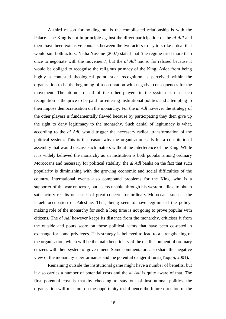A third reason for holding out is the complicated relationship is with the Palace. The King is not in principle against the direct participation of the *al Adl* and there have been extensive contacts between the two actors to try to strike a deal that would suit both actors. Nadia Yassine (2007) stated that 'the regime tried more than once to negotiate with the movement', but the *al Adl* has so far refused because it would be obliged to recognise the religious primacy of the King. Aside from being highly a contested theological point, such recognition is perceived within the organisation to be the beginning of a co-optation with negative consequences for the movement. The attitude of all of the other players in the system is that such recognition is the price to be paid for entering institutional politics and attempting to then impose democratisation on the monarchy. For the *al Adl* however the strategy of the other players is fundamentally flawed because by participating they then give up the right to deny legitimacy to the monarchy. Such denial of legitimacy is what, according to the *al Adl*, would trigger the necessary radical transformation of the political system. This is the reason why the organisation calls for a constitutional assembly that would discuss such matters without the interference of the King. While it is widely believed the monarchy as an institution is both popular among ordinary Moroccans and necessary for political stability, the *al Adl* banks on the fact that such popularity is diminishing with the growing economic and social difficulties of the country. International events also compound problems for the King, who is a supporter of the war on terror, but seems unable, through his western allies, to obtain satisfactory results on issues of great concern for ordinary Moroccans such as the Israeli occupation of Palestine. Thus, being seen to have legitimised the policymaking role of the monarchy for such a long time is not going to prove popular with citizens. The *al Adl* however keeps its distance from the monarchy, criticises it from the outside and pours scorn on those political actors that have been co-opted in exchange for some privileges. This strategy is believed to lead to a strengthening of the organisation, which will be the main beneficiary of the disillusionment of ordinary citizens with their system of government. Some commentators also share this negative view of the monarchy's performance and the potential danger it runs (Tuquoi, 2001).

Remaining outside the institutional game might have a number of benefits, but it also carries a number of potential costs and the *al Adl* is quite aware of that. The first potential cost is that by choosing to stay out of institutional politics, the organisation will miss out on the opportunity to influence the future direction of the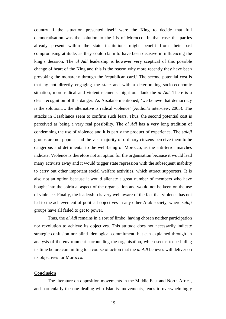country if the situation presented itself were the King to decide that full democratisation was the solution to the ills of Morocco. In that case the parties already present within the state institutions might benefit from their past compromising attitude, as they could claim to have been decisive in influencing the king's decision. The *al Adl* leadership is however very sceptical of this possible change of heart of the King and this is the reason why more recently they have been provoking the monarchy through the 'republican card.' The second potential cost is that by not directly engaging the state and with a deteriorating socio-economic situation, more radical and violent elements might out-flank the *al Adl*. There is a clear recognition of this danger. As Arsalane mentioned, 'we believe that democracy is the solution…. the alternative is radical violence' (Author's interview, 2005). The attacks in Casablanca seem to confirm such fears. Thus, the second potential cost is perceived as being a very real possibility. The *al Adl* has a very long tradition of condemning the use of violence and it is partly the product of experience. The s*alafi* groups are not popular and the vast majority of ordinary citizens perceive them to be dangerous and detrimental to the well-being of Morocco, as the anti-terror marches indicate. Violence is therefore not an option for the organisation because it would lead many activists away and it would trigger state repression with the subsequent inability to carry out other important social welfare activities, which attract supporters. It is also not an option because it would alienate a great number of members who have bought into the spiritual aspect of the organisation and would not be keen on the use of violence. Finally, the leadership is very well aware of the fact that violence has not led to the achievement of political objectives in any other Arab society, where *salafi*  groups have all failed to get to power.

Thus, the *al Adl* remains in a sort of limbo, having chosen neither participation nor revolution to achieve its objectives. This attitude does not necessarily indicate strategic confusion nor blind ideological commitment, but can explained through an analysis of the environment surrounding the organisation, which seems to be biding its time before committing to a course of action that the *al Adl* believes will deliver on its objectives for Morocco.

# **Conclusion**

 The literature on opposition movements in the Middle East and North Africa, and particularly the one dealing with Islamist movements, tends to overwhelmingly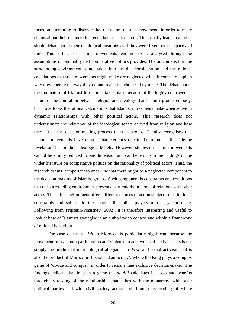focus on attempting to discover the true nature of such movements in order to make claims about their democratic credentials or lack thereof. This usually leads to a rather sterile debate about their ideological positions as if they were fixed both in space and time. This is because Islamist movements tend not to be analysed through the assumptions of rationality that comparative politics provides. The outcome is that the surrounding environment is not taken into the due consideration and the rational calculations that such movements might make are neglected when it comes to explain why they operate the way they do and make the choices they make. The debate about the true nature of Islamist formations takes place because of the highly controversial nature of the conflation between religion and ideology that Islamist groups embody, but it overlooks the rational calculations that Islamist movements make when active in dynamic relationships with other political actors. This research does not underestimate the relevance of the ideological tenets derived from religion and how they affect the decision-making process of such groups. It fully recognises that Islamist movements have unique characteristics due to the influence that 'divine revelation' has on their ideological beliefs. However, studies on Islamist movements cannot be simply reduced to one dimension and can benefit from the findings of the wider literature on comparative politics on the rationality of political actors. Thus, the research deems it important to underline that there might be a neglected component to the decision-making of Islamist groups. Such component is constraints and conditions that the surrounding environment presents, particularly in terms of relations with other actors. Thus, this environment offers different courses of action subject to institutional constraints and subject to the choices that other players in the system make. Following from Pripsetin-Posusney (2002), it is therefore interesting and useful to look at how of Islamists strategise in an authoritarian context and within a framework of rational behaviour.

 The case of the *al Adl* in Morocco is particularly significant because the movement refuses both participation and violence to achieve its objectives. This is not simply the product of its ideological allegiance to *dawa* and social activism, but is also the product of Moroccan 'liberalised autocracy', where the King plays a complex game of 'divide and conquer' in order to remain thee exclusive decision-maker. The findings indicate that in such a game the *al Adl* calculates its costs and benefits through its reading of the relationships that it has with the monarchy, with other political parties and with civil society actors and through its reading of where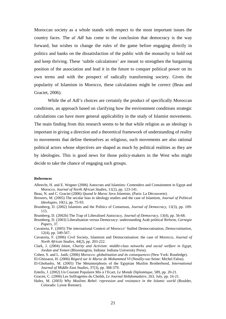Moroccan society as a whole stands with respect to the most important issues the country faces. The *al Adl* has come to the conclusion that democracy is the way forward, but wishes to change the rules of the game before engaging directly in politics and banks on the dissatisfaction of the public with the monarchy to hold out and keep thriving. These 'subtle calculations' are meant to strengthen the bargaining position of the association and lead it in the future to conquer political power on its own terms and with the prospect of radically transforming society. Given the popularity of Islamism in Morocco, these calculations might be correct (Beau and Graciet, 2006).

While the *al* Adl's choices are certainly the product of specifically Moroccan conditions, an approach based on clarifying how the environment conditions strategic calculations can have more general applicability in the study of Islamist movements. The main finding from this research seems to be that while religion as an ideology is important in giving a direction and a theoretical framework of understanding of reality to movements that define themselves as religious, such movements are also rational political actors whose objectives are shaped as much by political realities as they are by ideologies. This is good news for those policy-makers in the West who might decide to take the chance of engaging such groups.

#### **References**

Albrecht, H. and E. Wegner (2006) Autocrats and Islamists: Contenders and Containment in Egypt and Morocco, *Journal of North African Studies*, 11(2), pp. 123-141.

Beau, N. and C. Graciet (2006) *Quand le Maroc Sera Islamiste*, (Paris: La Découverte).

- Browers, M. (2005) The secular bias in ideology studies and the case of Islamism, *Journal of Political Ideologies*, 10(1), pp. 75-93.
- Brumberg, D. (2002) Islamists and the Politics of Consensus, *Journal of Democracy*, 13(3), pp. 109- 115.

Brumberg, D. (2002b) The Trap of Liberalised Autocracy, *Journal of Democracy*, 13(4), pp. 56-68.

- Brumberg, D. (2003) Liberalisation versus Democracy: understanding Arab political Reform, *Carnegie Papers*, 37.
- Cavatorta, F. (2005) The international Context of Morocco' Stalled Democratisation, *Democratization*, 12(4), pp. 549-567.
- Cavatorta, F. (2006) Civil Society, Islamism and Democratisation: the case of Morocco, *Journal of North African Studies*, 44(2), pp. 203-222.
- Clark, J. (2004) *Islam, Charity and Activism: middle-class networks and social welfare in Egypt, Jordan and Yemen* (Bloomington, Indiana: Indiana University Press).

Cohen, S. and L. Jaidi, (2006) *Morocco: globalisation and its consequences* (New York: Routledge).

- El-Ghissassi, H. (2006) *Régard sur le Maroc de Mohammed VI* (Neuilly-sur-Seine: Michel Falon).
- El-Ghobashy, M. (2005) The Metamorphosis of the Egyptian Muslim Brotherhood, *International Journal of Middle East Studies*, 37(3), pp. 368-379.
- Entelis, J. (2002) Un Courant Populaire Mis à l'Ecart, *Le Monde Diplomtique*, 589, pp. 20-21.

Graciet, C. (2006) Les Suffragettes du Cheikh, *Le Journal Hebdomadaire*, 263, July, pp. 16-21.

Hafez, M. (2003) *Why Muslims Rebel: repression and resistance in the Islamic world* (Boulder, Colorado: Lynne Rienner).